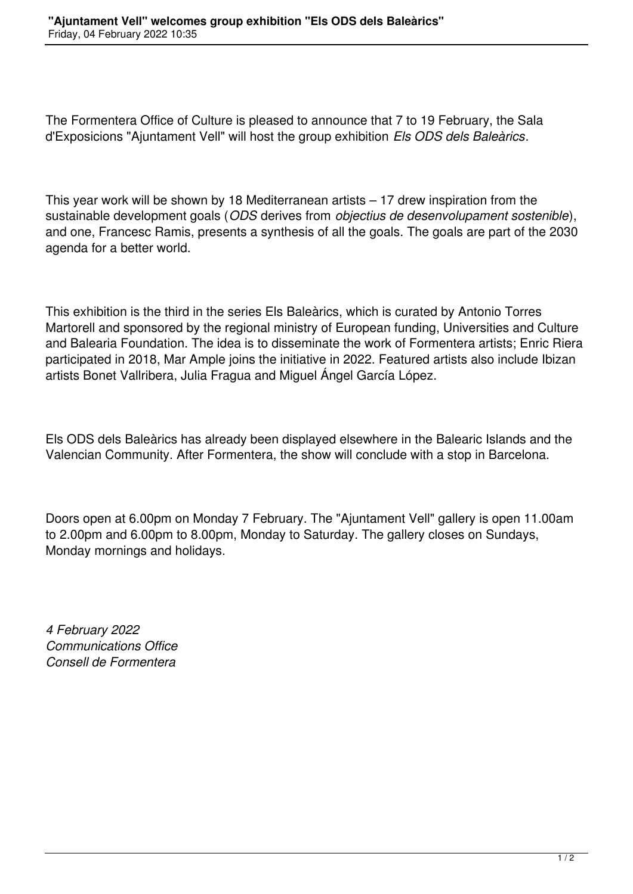The Formentera Office of Culture is pleased to announce that 7 to 19 February, the Sala d'Exposicions "Ajuntament Vell" will host the group exhibition *Els ODS dels Baleàrics*.

This year work will be shown by 18 Mediterranean artists – 17 drew inspiration from the sustainable development goals (*ODS* derives from *objectius de desenvolupament sostenible*), and one, Francesc Ramis, presents a synthesis of all the goals. The goals are part of the 2030 agenda for a better world.

This exhibition is the third in the series Els Baleàrics, which is curated by Antonio Torres Martorell and sponsored by the regional ministry of European funding, Universities and Culture and Balearia Foundation. The idea is to disseminate the work of Formentera artists; Enric Riera participated in 2018, Mar Ample joins the initiative in 2022. Featured artists also include Ibizan artists Bonet Vallribera, Julia Fragua and Miguel Ángel García López.

Els ODS dels Baleàrics has already been displayed elsewhere in the Balearic Islands and the Valencian Community. After Formentera, the show will conclude with a stop in Barcelona.

Doors open at 6.00pm on Monday 7 February. The "Ajuntament Vell" gallery is open 11.00am to 2.00pm and 6.00pm to 8.00pm, Monday to Saturday. The gallery closes on Sundays, Monday mornings and holidays.

*4 February 2022 Communications Office Consell de Formentera*